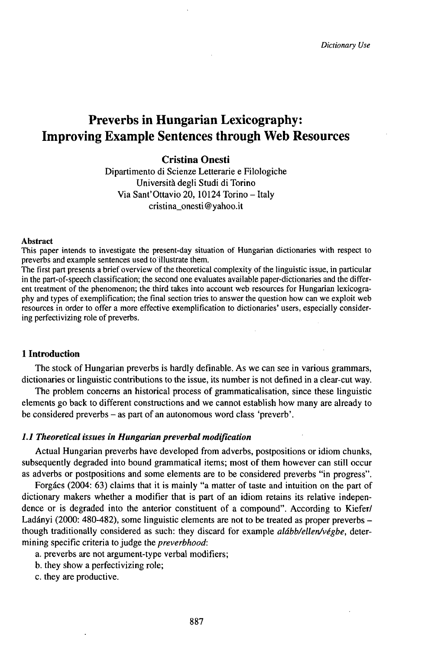# Preverbs in Hungarian Lexicography: Improving Example Sentences through Web Resources

# **Cristina Onesti**

Dipartimento di Scienze Letterarie e Filologiche Università degli Studi di Torino Via Sant'Ottavio 20, 10124 Torino - Italy cristina\_onesti@yahoo.it

#### Abstract

This paper intends to investigate the present-day situation of Hungarian dictionaries with respect to preverbs and example sentences used to illustrate them.

The first part presents a brief overview of the theoretical complexity of the linguistic issue, in particular in the part-of-speech classification; the second one evaluates available paper-dictionaries and the different treatment of the phenomenon; the third takes into account web resources for Hungarian lexicography and types of exemplification; the final section tries to answer the question how can we exploit web resources in order to offer a more effective exemplification to dictionaries' users, especially considering perfectivizing role of preverbs.

# **1 Introduction**

The stock of Hungarian preverbs is hardly definable. As we can see in various grammars, dictionaries or linguistic contributions to the issue, its number is not defined in a clear-cut way.

The problem concerns an historical process of grammaticalisation, since these linguistic elements go back to different constructions and we cannot establish how many are already to be considered preverbs - as part of an autonomous word class 'preverb'.

# *1.1 Theoretical issues in Hungarian preverbal modification*

Actual Hungarian preverbs have developed from adverbs, postpositions or idiom chunks, subsequently degraded into bound grammatical items; most of them however can still occur as adverbs or postpositions and some elements are to be considered preverbs "in progress".

Forgács (2004: 63) claims that it is mainly "a matter of taste and intuition on the part of dictionary makers whether a modifier that is part of an idiom retains its relative independence or is degraded into the anterior constituent of a compound". According to Kiefer/ Ladányi (2000: 480-482), some linguistic elements are not to be treated as proper preverbs though traditionally considered as such: they discard for example *alább/ellen/végbe,* determining specific criteria to judge the *preverbhood:*

- a. preverbs are not argument-type verbal modifiers;
- b. they show a perfectivizing role;
- c. they are productive.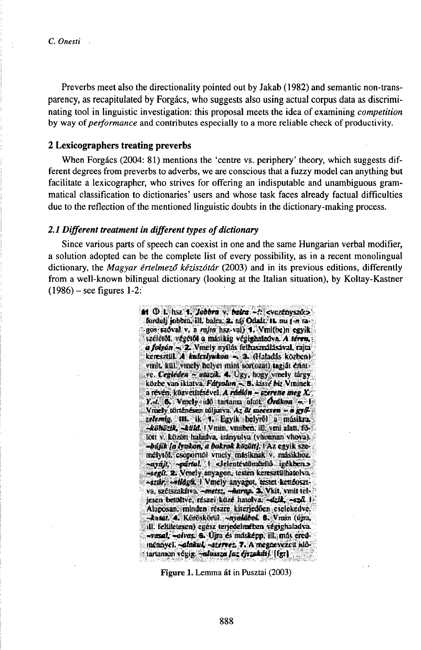Preverbs meet also the directionality pointed out by Jakab (1982) and semantic non-transparency, as recapitulated by Forgács, who suggests also using actual corpus data as discriminating tool in linguistic investigation: this proposal meets the idea of examining *competition* by way of *performance* and contributes especially to a more reliable check of productivity.

## 2 Lexicographers treating preverbs

When Forgács (2004: 81) mentions the 'centre vs. periphery' theory, which suggests different degrees from preverbs to adverbs, we are conscious that a fuzzy model can anything but facilitate a lexicographer, who strives for offering an indisputable and unambiguous grammatical classification to dictionaries' users and whose task faces already factual difficulties due to the reflection of the mentioned linguistic doubts in the dictionary-making process.

## 2.1 Different treatment in different types of dictionary

Since various parts of speech can coexist in one and the same Hungarian verbal modifier, a solution adopted can be the complete list of every possibility, as in a recent monolingual dictionary, the Magyar értelmező kéziszótár (2003) and in its previous editions, differently from a well-known bilingual dictionary (looking at the Italian situation), by Koltay-Kastner  $(1986)$  – see figures 1-2:

> 64 (D. I., hsz. 4. Jobbra v. balra – ?; svezťayszúc><br>- fordulj jobbra, ill. balra, 2. taj Odsál. IL mi (+ ragos szoval v. n rajm hsz-vul) 1. Vmithem egyik széletőt, végétől a másikig végighalzdva. A téren, a folyón ~ 2. Vmely nyílás felhasználásával, rajta keresztül. A kulcsiyakon - 3. (Haladás közben) virilt, kül, vinely helyet mint sortozat) tagját érinive. Cegdeden ~ miazik. 4. Ugy, hogy vmely turgy közbe van iklatva. Farrolan ~ 5. kissé biz Vininek. a révén, küzveinésével. A rdokon – szerene meg  $X$ Y.-t. 6. Vinchy idő tartama alatt. Orákon - 1 Vræly történésen túljuiva. Az & mecentu ~ a győzelemig. 111. ik 1. Egyik helyről a másikra. -Robotth, -Reld. (Vinin, viniben, ill. vini alan, fölist v. között haládva, irányulva (vhosnan vhova). -bújik la lyukon, a bokrok között). FAz egyik személytől, csoporttól vmely másiknak v. másikhoz. sayaji, pártol. I cleinte somárilo igekben.» stegil. 2. Vmely asyagon, testen keresztülhatolva, -strar, -olduft, I Vmely anyagot, testet ketibosztva, szétszakítva. - meter, - Aarap. 3. Vkit, vmit teljesen bendive, reszei küzé hatolva. «dzik, «szd. J. Aluposan, minden resare kinerjediken eselekedve. -Antor, 4. Kereskestil, -srimlabed. 8. Vanin (djra, ill. felületesen) egész terjedelmében végighaladva. -vesal, -olves. 6. Ugu és másképp, ill. más eredmenzyel. - alakul, -stervet. 7. A megzewezelt időarlanam végig. salassza laz ejrzukáli. [fg1]

> > Figure 1. Lemma át in Pusztai (2003)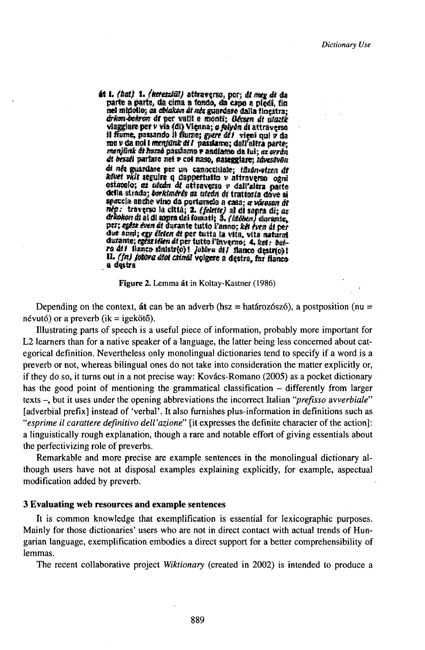46 I. (hat) 1. (kereszkil) attraverso, por; dt meg dt da<br>parte a parte, da cima a tondo, da capo a piedi, tin nel midollo; ca chiakon di nez guardare dalla finestra; drikon-bohron di per valli e monti; Bécara di utazik<br>vlaggiare per v via (di) Vienna; a folyda di attraverso<br>il fiume, passando il fiume; guere di / vieni qui v da me v da noi i menjunk di l passiamo; dall'altra parte; menjunk di huzzo passiamo v andiamo da lui, oz ovrdu di bessel parlare nel v col naso, naseggiare; idvestvon di nër guardare per un canocchiale; idzon-vizen di an nes guardare per am vanceuver, receptor ogni<br>astacolo: az utem di attraverso v dall'attra parte<br>della strada; borkimérés az utem di trattoria dove si spaccia anche vino da porturscio a casa; a városon di nép: traverso la città; 2. (felette) al di sopra di; az<br>dricolton di al di sopra dei fossati; 3. (idoben) durante, per; egese even de durante tutto Fanno; kët even di per due anni; egy életen di per tutta la vita, vita natural<br>durante; egeariden di per tutto l'inverno; 4, ket: butra dti fianco simistrio)! Jobbra dti fianco destrio)!<br>IL (fn) jobbra dtoi csimal volgere a destra, far fianco a destra

Figure 2. Lemma át in Koltay-Kastner (1986)

Depending on the context, at can be an adverb (hsz = határozószó), a postposition (nu = névutó) or a preverb (ik = igekötő).

Illustrating parts of speech is a useful piece of information, probably more important for L2 learners than for a native speaker of a language, the latter being less concerned about categorical definition. Nevertheless only monolingual dictionaries tend to specify if a word is a preverb or not, whereas bilingual ones do not take into consideration the matter explicitly or, if they do so, it turns out in a not precise way: Kovács-Romano (2005) as a pocket dictionary has the good point of mentioning the grammatical classification – differently from larger texts –, but it uses under the opening abbreviations the incorrect Italian "*prefisso avverbiale*" [adverbial prefix] instead of 'verbal'. It also furnishes plus-information in definitions such as "esprime il carattere definitivo dell'azione" [it expresses the definite character of the action]: a linguistically rough explanation, though a rare and notable effort of giving essentials about the perfectivizing role of preverbs.

Remarkable and more precise are example sentences in the monolingual dictionary although users have not at disposal examples explaining explicitly, for example, aspectual modification added by preverb.

#### 3 Evaluating web resources and example sentences

It is common knowledge that exemplification is essential for lexicographic purposes. Mainly for those dictionaries' users who are not in direct contact with actual trends of Hungarian language, exemplification embodies a direct support for a better comprehensibility of lemmas.

The recent collaborative project *Wiktionary* (created in 2002) is intended to produce a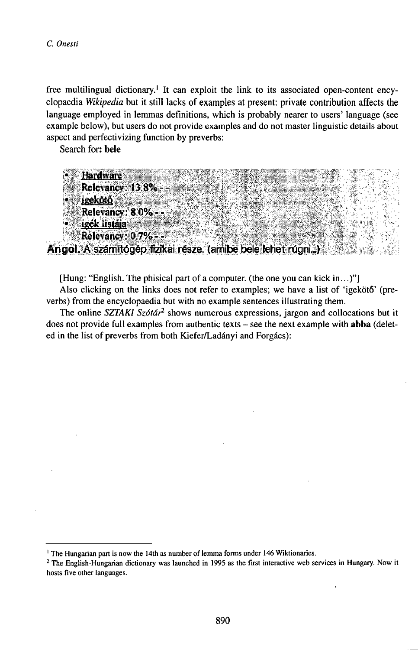free multilingual dictionary.<sup>1</sup> It can exploit the link to its associated open-content encyclopaedia Wikipedia but it still lacks of examples at present: private contribution affects the language employed in lemmas definitions, which is probably nearer to users' language (see example below), but users do not provide examples and do not master linguistic details about aspect and perfectivizing function by preverbs:

Search for: bele

**Hardware** Relevancy: 13.8% irekötő. Relevancy: 8.0% igék listája Relevancy: 0.7% == Angol. A számítógép fizikai része. (amibe bele lehet rúgni...)

[Hung: "English. The phisical part of a computer. (the one you can kick in...)"]

Also clicking on the links does not refer to examples; we have a list of 'igekötő' (preverbs) from the encyclopaedia but with no example sentences illustrating them.

The online SZTAKI Szótár<sup>2</sup> shows numerous expressions, jargon and collocations but it does not provide full examples from authentic texts - see the next example with abba (deleted in the list of preverbs from both Kiefer/Ladányi and Forgács):

<sup>&</sup>lt;sup>1</sup> The Hungarian part is now the 14th as number of lemma forms under 146 Wiktionaries.

<sup>&</sup>lt;sup>2</sup> The English-Hungarian dictionary was launched in 1995 as the first interactive web services in Hungary. Now it hosts five other languages.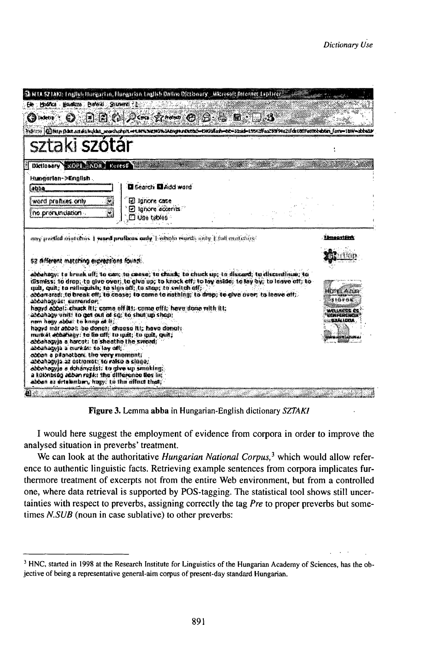|                                                                                                                                                                                                                                                                                             | 强 NTA S2 IAKI: English Hurgarian, Flurgarian, Lnglish Datine Dictionary , Microsoft Ariomes Laplace                                                                                                                                                                                                                                                                                                                           |                                                         |
|---------------------------------------------------------------------------------------------------------------------------------------------------------------------------------------------------------------------------------------------------------------------------------------------|-------------------------------------------------------------------------------------------------------------------------------------------------------------------------------------------------------------------------------------------------------------------------------------------------------------------------------------------------------------------------------------------------------------------------------|---------------------------------------------------------|
| Ele Hoshca Baskins Beleid Suinenti (1)                                                                                                                                                                                                                                                      |                                                                                                                                                                                                                                                                                                                                                                                                                               |                                                         |
| $\mathbf{Q}$ is equal to $\mathbf{C}$                                                                                                                                                                                                                                                       | $\Box$ is a $\rho$ or $\rho$ and $\Theta$ . If $\Box$ is $\Box$ is                                                                                                                                                                                                                                                                                                                                                            |                                                         |
|                                                                                                                                                                                                                                                                                             | rgens (Cinne bår andt bekk mocheren men energiskalenskred-tussisch-te-text-text-text effectivere kann forminn-                                                                                                                                                                                                                                                                                                                |                                                         |
| sztaki <b>szótár</b>                                                                                                                                                                                                                                                                        |                                                                                                                                                                                                                                                                                                                                                                                                                               |                                                         |
| Dictionary COUTS NOR FOTEST                                                                                                                                                                                                                                                                 |                                                                                                                                                                                                                                                                                                                                                                                                                               |                                                         |
| Hummarlan->English                                                                                                                                                                                                                                                                          |                                                                                                                                                                                                                                                                                                                                                                                                                               |                                                         |
| abba                                                                                                                                                                                                                                                                                        | <b>D</b> Search <b>D</b> Add word                                                                                                                                                                                                                                                                                                                                                                                             |                                                         |
| B<br>word praffixes only                                                                                                                                                                                                                                                                    | El lanore case                                                                                                                                                                                                                                                                                                                                                                                                                |                                                         |
| L<br>mo promundeakon .                                                                                                                                                                                                                                                                      | $\Box$ labore accertis.<br>O USO tablos :                                                                                                                                                                                                                                                                                                                                                                                     |                                                         |
|                                                                                                                                                                                                                                                                                             |                                                                                                                                                                                                                                                                                                                                                                                                                               |                                                         |
|                                                                                                                                                                                                                                                                                             | arry suities matches I want profixes anly I whole words anly [full matches]                                                                                                                                                                                                                                                                                                                                                   | <b>Elimenstálok</b>                                     |
|                                                                                                                                                                                                                                                                                             |                                                                                                                                                                                                                                                                                                                                                                                                                               |                                                         |
| 52 different matching expressions found: .                                                                                                                                                                                                                                                  |                                                                                                                                                                                                                                                                                                                                                                                                                               |                                                         |
| gail, quil; to milnozoith; to sinn off; to slop; to switch off;<br>abbahagpas: sumendor:<br>abbahagy units to get out of cg; to shering shem;<br>nen heav abbet to knop at it.<br>hagyd már abbal: be donot: choose itl: have donot:<br>munkat abbahany: to he off; to mait; to mait, quit; | abbahaoy: to brook off; ho can; ho canva; to chuck; to chuck up; to discard; to discurdinas; to<br>dismiss; to drop; to alve over; to alve up; to knock off; to key asked; to leav by; to leave off; to<br>obbarrarad: to break off. to caoses to came to nathing: to drap: to alve over: to leave off.<br>haavd abbat: chuick fit; cama off its, coma offic have done with its<br>abbahagyja a harcot; to sheathe the sword; | KY KLASIC<br>210900<br>uglises e<br>KAFLNENC<br>2311274 |

Figure 3. Lemma abba in Hungarian-English dictionary SZTAKI

I would here suggest the employment of evidence from corpora in order to improve the analysed situation in preverbs' treatment.

We can look at the authoritative Hungarian National Corpus,<sup>3</sup> which would allow reference to authentic linguistic facts. Retrieving example sentences from corpora implicates furthermore treatment of excerpts not from the entire Web environment, but from a controlled one, where data retrieval is supported by POS-tagging. The statistical tool shows still uncertainties with respect to preverbs, assigning correctly the tag Pre to proper preverbs but sometimes N.SUB (noun in case sublative) to other preverbs:

<sup>&</sup>lt;sup>3</sup> HNC, started in 1998 at the Research Institute for Linguistics of the Hungarian Academy of Sciences, has the objective of being a representative general-aim corpus of present-day standard Hungarian.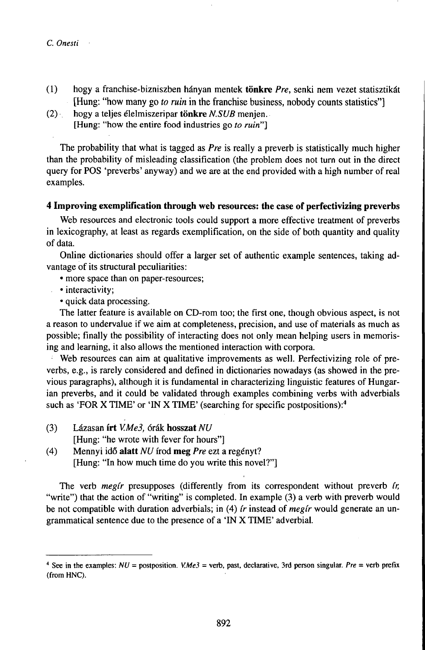- (1) hogy a franchise-bizniszben hányan mentek **tönkre** *Pre,* senki nem vezet statisztikát [Hung: "how many go *to ruin* in the franchise business, nobody counts statistics"]
- (2) , hogy a teljes élelmiszeripar **tönkre** *N.SUB* menjen. [Hung: "how the entire food industries go *to ruin"]*

The probability that what is tagged as *Pre* is really a preverb is statistically much higher than the probability of misleading classification (the problem does not turn out in the direct query for POS 'preverbs' anyway) and we are at the end provided with a high number of real examples.

# **4 Improving exemplification through web resources: the case of perfectivizing preverbs**

Web resources and electronic tools could support a more effective treatment of preverbs in lexicography, at least as regards exemplification, on the side of both quantity and quality of data.

Online dictionaries should offer a larger set of authentic example sentences, taking advantage of its structural peculiarities:

- more space than on paper-resources;
- interactivity;
	- quick data processing.

The latter feature is available on CD-rom too; the first one, though obvious aspect, is not a reason to undervalue if we aim at completeness, precision, and use of materials as much as possible; finally the possibility of interacting does not only mean helping users in memorising and learning, it also allows the mentioned interaction with corpora.

Web resources can aim at qualitative improvements as well. Perfectivizing role of preverbs, e.g., is rarely considered and defined in dictionaries nowadays (as showed in the previous paragraphs), although it is fundamental in characterizing linguistic features of Hungarian preverbs, and it could be validated through examples combining verbs with adverbials such as 'FOR X TIME' or 'IN X TIME' (searching for specific postpositions):<sup>4</sup>

(3) Lázasan **írt** *V.Me3,* órák **hosszat** *NU*

[Hung: "he wrote with fever for hours"]

(4) Mennyi idô **alatt** *NU* írod **meg** *Pre* ezt a regényt? [Hung: "In how much time do you write this novel?"]

The verb *megir* presupposes (differently from its correspondent without preverb *ir,* "write") that the action of "writing" is completed. In example (3) a verb with preverb would be not compatible with duration adverbials; in (4) *(r* instead of *megir* would generate an ungrammatical sentence due to the presence of a TN X TIME' adverbial.

<sup>&</sup>lt;sup>4</sup> See in the examples:  $NU =$  postposition. *V.Me3* = verb, past, declarative, 3rd person singular. *Pre* = verb prefix (from HNC).